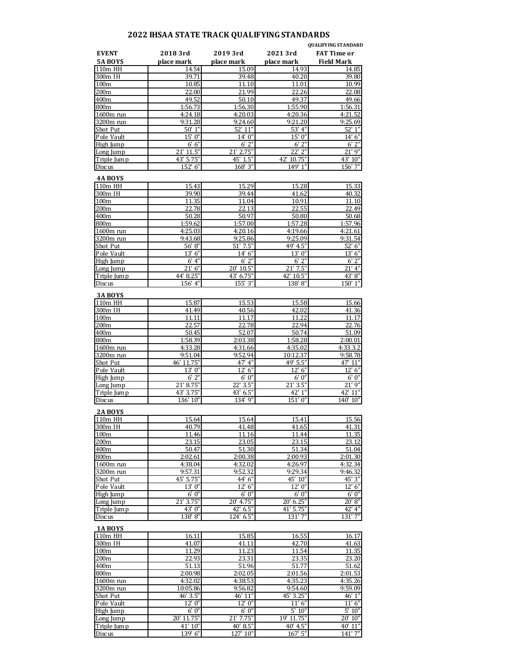## **2022 IHSAA STATE TRACK QUALIFYING STANDARDS**

|                                |                        |                                    |                        | <b>OUALIFYING STANDARD</b>              |
|--------------------------------|------------------------|------------------------------------|------------------------|-----------------------------------------|
| <b>EVENT</b><br><b>5A BOYS</b> | 2018 3rd<br>place mark | 2019 3rd<br>place mark             | 2021 3rd<br>place mark | <b>FAT Time or</b><br><b>Field Mark</b> |
| 110m HH                        | 14.54                  | 15.09                              | 14.93                  | 14.85                                   |
| 300m IH                        | 39.71                  | 39.48                              | 40.20                  | 39.80                                   |
| 100 <sub>m</sub><br>200m       | 10.85<br>22.00         | 11.10<br>21.99                     | 11.01<br>22.26         | 10.99<br>22.08                          |
| 400m                           | 49.52                  | 50.10                              | 49.37                  | 49.66                                   |
| 800m                           | 1:56.73                | 1:56.30                            | 1:55.90                | 1:56.31                                 |
| 1600m run                      | 4:24.18                | 4:20.03                            | 4:20.36                | 4:21.52                                 |
| 3200m run                      | 9:31.28                | 9:24.60                            | 9:21.20                | 9:25.69                                 |
| Shot Put                       | 50' 1"                 | 52' 11"                            | 53' 4"                 | 52' 1"                                  |
| Pole Vault<br>High Jump        | 15' 0"<br>6' 6''       | $14'$ $0''$<br>6'2''               | $15'$ $0''$<br>6'2''   | 14' 6''<br>$6'$ 2                       |
| Long Jump                      | 21' 11.5"              | 21' 2.75"                          | 22' 2"                 | $21'$ $9''$                             |
| Triple Jump                    | 43' 5.75"              | 45' 1.5"                           | 42' 10.75"             | 43' 10"                                 |
| Discus                         | 152' 6"                | 168' 3"                            | 149' 1"                | 156' 7"                                 |
| <b>4A BOYS</b>                 |                        | 15.29                              | 15.28                  |                                         |
| 110m HH<br>300m IH             | 15.43<br>39.90         | 39.44                              | 41.62                  | 15.33<br>40.32                          |
| 100m                           | 11.35                  | 11.04                              | 10.91                  | 11.10                                   |
| 200 <sub>m</sub>               | 22.78                  | 22.13                              | 22.55                  | 22.49                                   |
| 400m                           | 50.28                  | 50.97                              | 50.80                  | 50.68                                   |
| 800m                           | 1:59.62                | 1:57.00                            | 1:57.28                | 1:57.96                                 |
| 1600m run                      | 4:25.03                | 4:20.16                            | 4:19.66                | 4:21.61                                 |
| 3200m run<br>Shot Put          | 9:43.68<br>56' 8"      | 9:25.86<br>$51'$ $7.5"$            | 9:25.09<br>49' 4.5"    | 9:31.54<br>52' 6"                       |
| Pole Vault                     | 13' 6"                 | 14' 6"                             | 13' 0"                 | 13' 6"                                  |
| High Jump                      | 6' 4"                  | $6'$ 2"                            | 6'2''                  | $6'$ $2''$                              |
| Long Jump                      | 21' 6"                 | 20' 10.5"                          | $21'$ $7.5"$           | $21'$ 4"                                |
| Triple Jump                    | 44' 8.25"              | 43' 6.75"                          | 42' 10.5"              | 43' 8"                                  |
| Discus                         | 156' 4"                | 155' 3"                            | 138' 8"                | 150' 1"                                 |
| 3A BOYS                        |                        |                                    |                        |                                         |
| 110m HH                        | 15.87                  | 15.53<br>40.56                     | 15.58                  | 15.66                                   |
| 300m IH<br>100m                | 41.49<br>11.11         | 11.17                              | 42.02<br>11.22         | 41.36<br>11.17                          |
| 200m                           | 22.57                  | 22.78                              | 22.94                  | 22.76                                   |
| 400m                           | 50.45                  | 52.07                              | 50.74                  | 51.09                                   |
| 800m                           | 1:58.39                | 2:03.38                            | 1:58.28                | 2:00.01                                 |
| 1600m run                      | 4:33.28                | 4:31.66                            | 4:35.02                | 4:33.3.2                                |
| 3200m run                      | 9:51.04                | 9:52.94                            | 10:12.37               | 9:58.78                                 |
| Shot Put                       | 46' 11.75"<br>13' 0"   | 47' 4"<br>12'<br>6"                | 49' 5.5"<br>12' 6''    | 47' 11"<br>12' 6''                      |
| Pole Vault<br>High Jump        | $6'$ $2''$             | 6'0''                              | 6'0''                  | 6'0''                                   |
| Long Jump                      | 21' 8.75"              | 22' 3.5"                           | 21' 3.5"               | 21' 9"                                  |
| Triple Jump                    | 43' 3.75"              | 43' 6.5"                           | 42' 1"                 | 42' 11"                                 |
| Discus                         | 136' 10"               | $134'$ $9''$                       | 151' 0"                | 140'<br>10"                             |
| 2A BOYS                        |                        |                                    |                        |                                         |
| 110m HH                        | 15.64                  | 15.64                              | 15.41                  | 15.56                                   |
| 300m IH                        | 40.79                  | 41.48                              | 41.65                  | 41.31                                   |
| 100 <sub>m</sub>               | 11.46                  | 11.16                              | 11.44                  | 11.35                                   |
| 200m<br>400m                   | 23.15<br>50.47         | 23.05<br>51.30                     | 23.15<br>51.34         | 23.12<br>51.04                          |
| 800m                           | 2:02.61                | 2:00.38                            | 2:00.93                | 2:01.30                                 |
| 1600m run                      | 4:38.04                | 4:32.02                            | 4:26.97                | 4:32.34                                 |
| 3200m run                      | 9:57.31                | 9:52.32                            | 9:29.34                | 9:46.32                                 |
| Shot Put                       | 45' 5.75"              | 44' 6"                             | 45' 10"                | 45' 3"                                  |
| Pole Vault                     | 13' 0"                 | 12' 6"                             | 12' 0"                 | 12' 6"                                  |
| High Jump                      | 6'0''                  | 6' 0"                              | 6'0''                  | 6'0''                                   |
| Long Jump<br>Triple Jump       | 21' 3.75"<br>43' 0"    | 20' 4.75"<br>42' 6.5"              | 20' 6.25"<br>41' 5.75" | 20' 8"<br>42' 4"                        |
| Discus                         | 138' 8"                | 124' 6.5"                          | 131' 7"                | 131'7''                                 |
| 1A BOYS                        |                        |                                    |                        |                                         |
| 110m HH                        | 16.11                  | 15.85                              | 16.55                  | 16.17                                   |
| 300m IH                        | 41.07                  | 41.11                              | 42.70                  | 41.63                                   |
| 100m                           | 11.29                  | 11.23                              | 11.54                  | 11.35                                   |
| 200m                           | 22.93                  | 23.31                              | 23.35                  | 23.20                                   |
| 400m<br>800m                   | 51.13<br>2:00.98       | 51.96<br>2:02.05                   | 51.77<br>2:01.56       | 51.62<br>2:01.53                        |
| 1600m run                      | 4:32.02                | 4:38.53                            | 4:35.23                | 4:35.26                                 |
| 3200m run                      | 10:05.86               | 9:56.82                            | 9:54.60                | 9:59.09                                 |
| Shot Put                       | 46' 3.5"               | 46' 11"                            | 45' 3.25"              | 46' 1"                                  |
| Pole Vault                     | 12' 0"                 | 12' 0"                             | 11' 6"                 | 11' 6''                                 |
| High Jump                      | 6'0''                  | 6'0''                              | 5' 10"                 | 5' 10''                                 |
| Long Jump                      | 20' 11.75"<br>41' 10"  | $\overline{21}'$ 7.75"<br>40' 8.5" | 19' 11.75"<br>40' 4.5" | 20' 10"<br>40' 11"                      |
| Triple Jump<br>Discus          | 139' 6"                | 127' 10"                           | 167' 5"                | 141' 7"                                 |
|                                |                        |                                    |                        |                                         |